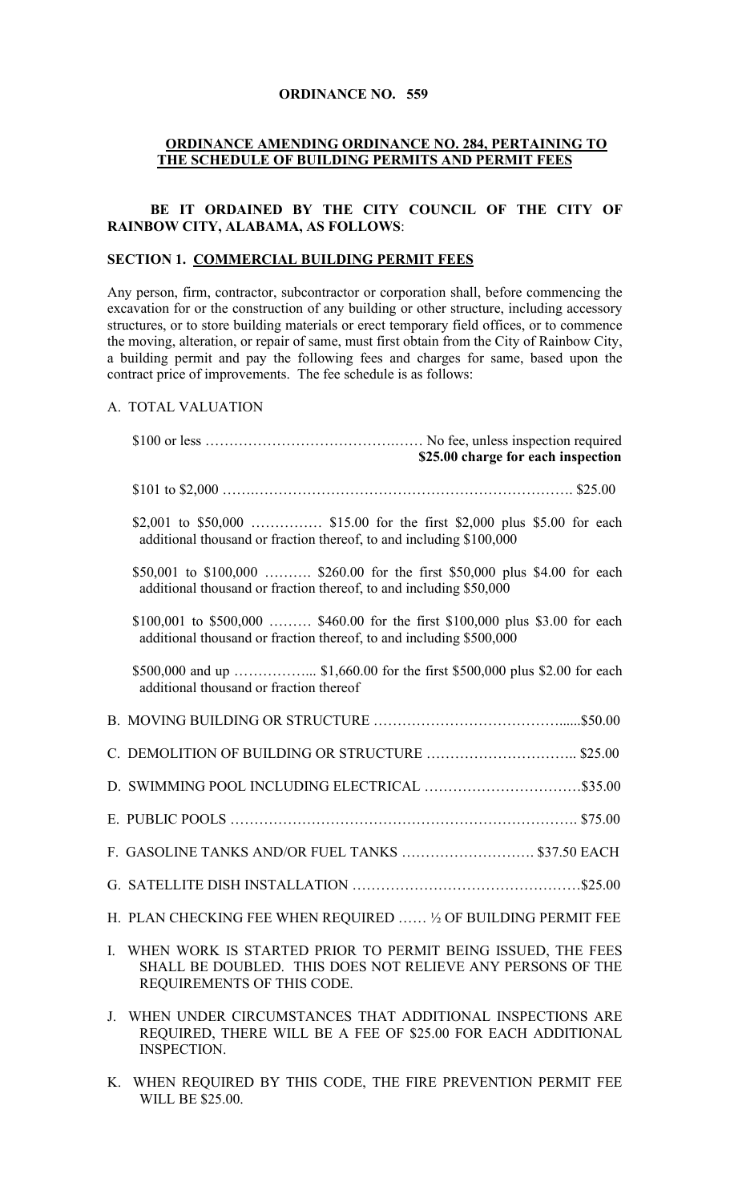### **ORDINANCE NO. 559**

#### **ORDINANCE AMENDING ORDINANCE NO. 284, PERTAINING TO THE SCHEDULE OF BUILDING PERMITS AND PERMIT FEES**

## BE IT ORDAINED BY THE CITY COUNCIL OF THE CITY OF **RAINBOW CITY, ALABAMA, AS FOLLOWS**:

#### **SECTION 1. COMMERCIAL BUILDING PERMIT FEES**

Any person, firm, contractor, subcontractor or corporation shall, before commencing the excavation for or the construction of any building or other structure, including accessory structures, or to store building materials or erect temporary field offices, or to commence the moving, alteration, or repair of same, must first obtain from the City of Rainbow City, a building permit and pay the following fees and charges for same, based upon the contract price of improvements. The fee schedule is as follows:

## A. TOTAL VALUATION

INSPECTION.

| \$25.00 charge for each inspection                                                                                                                            |  |
|---------------------------------------------------------------------------------------------------------------------------------------------------------------|--|
|                                                                                                                                                               |  |
| \$2,001 to \$50,000  \$15.00 for the first \$2,000 plus \$5.00 for each<br>additional thousand or fraction thereof, to and including \$100,000                |  |
| \$50,001 to \$100,000  \$260.00 for the first \$50,000 plus \$4.00 for each<br>additional thousand or fraction thereof, to and including \$50,000             |  |
| \$100,001 to \$500,000  \$460.00 for the first \$100,000 plus \$3.00 for each<br>additional thousand or fraction thereof, to and including \$500,000          |  |
| additional thousand or fraction thereof                                                                                                                       |  |
|                                                                                                                                                               |  |
| C. DEMOLITION OF BUILDING OR STRUCTURE \$25.00                                                                                                                |  |
| D. SWIMMING POOL INCLUDING ELECTRICAL \$35.00                                                                                                                 |  |
|                                                                                                                                                               |  |
| F. GASOLINE TANKS AND/OR FUEL TANKS  \$37.50 EACH                                                                                                             |  |
|                                                                                                                                                               |  |
| H. PLAN CHECKING FEE WHEN REQUIRED  ½ OF BUILDING PERMIT FEE                                                                                                  |  |
| I.<br>WHEN WORK IS STARTED PRIOR TO PERMIT BEING ISSUED, THE FEES<br>SHALL BE DOUBLED. THIS DOES NOT RELIEVE ANY PERSONS OF THE<br>REQUIREMENTS OF THIS CODE. |  |
| WHEN UNDER CIRCUMSTANCES THAT ADDITIONAL INSPECTIONS ARE<br>J.<br>REQUIRED, THERE WILL BE A FEE OF \$25.00 FOR EACH ADDITIONAL                                |  |

K. WHEN REQUIRED BY THIS CODE, THE FIRE PREVENTION PERMIT FEE WILL BE \$25.00.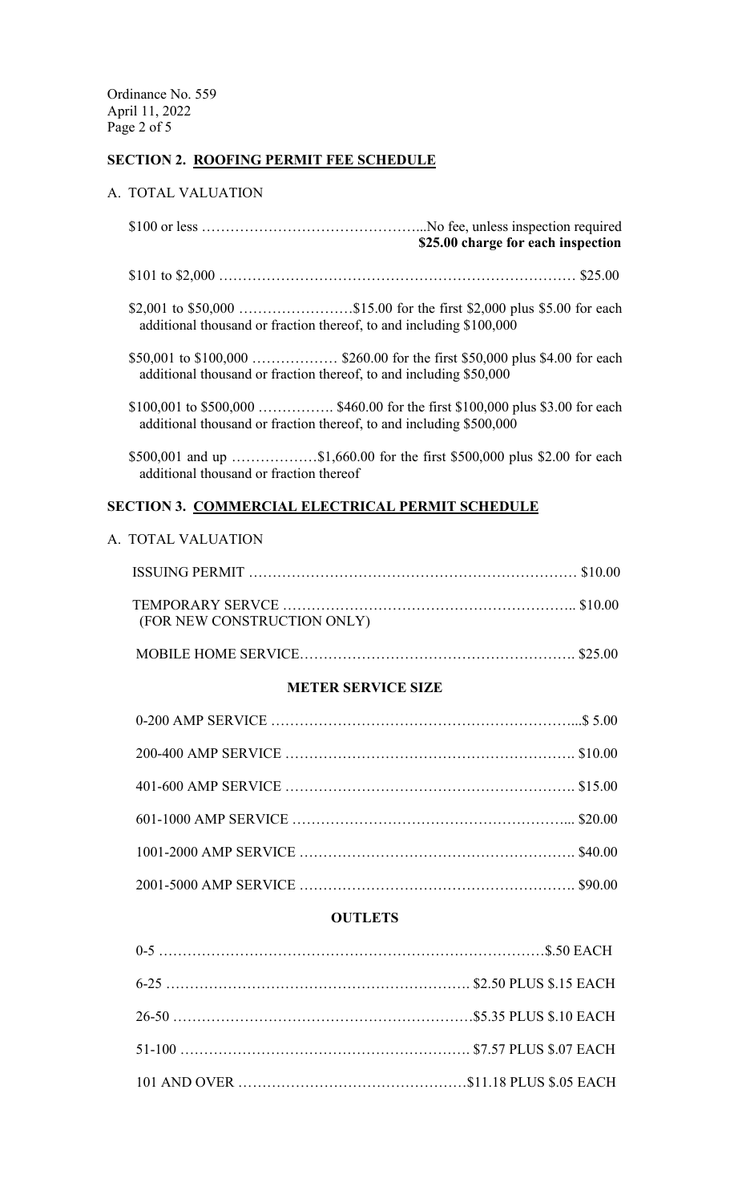## **SECTION 2. ROOFING PERMIT FEE SCHEDULE**

### A. TOTAL VALUATION

 \$100 or less ………………………………………...No fee, unless inspection required **\$25.00 charge for each inspection** \$101 to \$2,000 ………………………………………………………………… \$25.00 \$2,001 to \$50,000 ……………………\$15.00 for the first \$2,000 plus \$5.00 for each additional thousand or fraction thereof, to and including \$100,000 \$50,001 to \$100,000 ……………… \$260.00 for the first \$50,000 plus \$4.00 for each additional thousand or fraction thereof, to and including \$50,000 \$100,001 to \$500,000 ……………. \$460.00 for the first \$100,000 plus \$3.00 for each additional thousand or fraction thereof, to and including \$500,000

 \$500,001 and up ………………\$1,660.00 for the first \$500,000 plus \$2.00 for each additional thousand or fraction thereof

## **SECTION 3. COMMERCIAL ELECTRICAL PERMIT SCHEDULE**

## A. TOTAL VALUATION

| (FOR NEW CONSTRUCTION ONLY) |  |
|-----------------------------|--|
|                             |  |

# **METER SERVICE SIZE**

## **OUTLETS**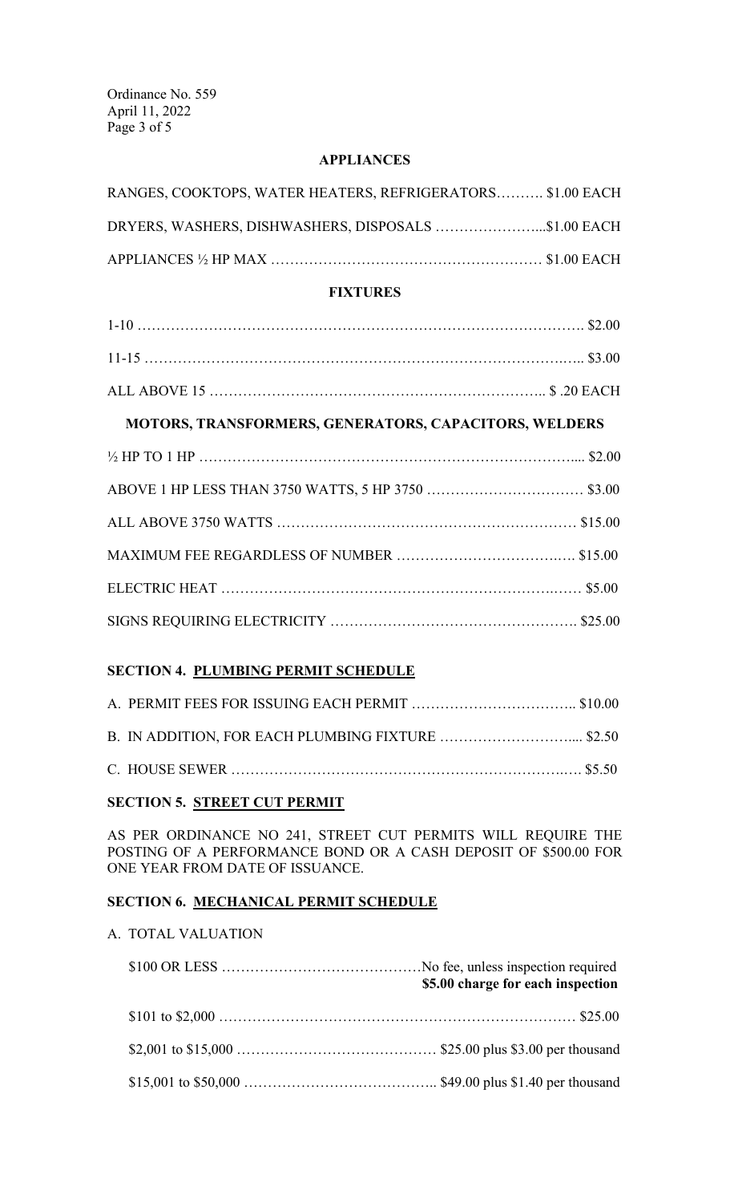Ordinance No. 559 April 11, 2022 Page 3 of 5

## **APPLIANCES**

| RANGES, COOKTOPS, WATER HEATERS, REFRIGERATORS \$1.00 EACH |  |
|------------------------------------------------------------|--|
| DRYERS, WASHERS, DISHWASHERS, DISPOSALS \$1.00 EACH        |  |
|                                                            |  |

# **FIXTURES**

# **MOTORS, TRANSFORMERS, GENERATORS, CAPACITORS, WELDERS**

# **SECTION 4. PLUMBING PERMIT SCHEDULE**

# **SECTION 5. STREET CUT PERMIT**

AS PER ORDINANCE NO 241, STREET CUT PERMITS WILL REQUIRE THE POSTING OF A PERFORMANCE BOND OR A CASH DEPOSIT OF \$500.00 FOR ONE YEAR FROM DATE OF ISSUANCE.

# **SECTION 6. MECHANICAL PERMIT SCHEDULE**

# A. TOTAL VALUATION

| \$5.00 charge for each inspection |  |
|-----------------------------------|--|
|                                   |  |
|                                   |  |
|                                   |  |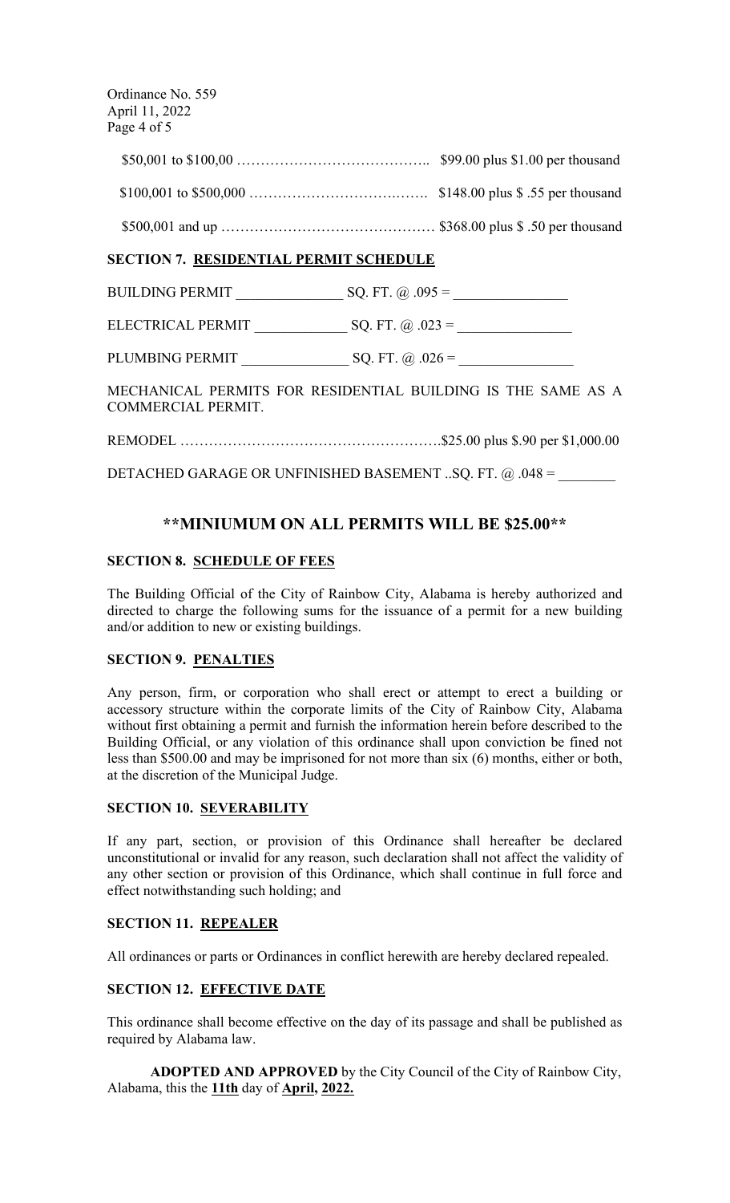Ordinance No. 559 April 11, 2022 Page 4 of 5

> \$50,001 to \$100,00 ………………………………….. \$99.00 plus \$1.00 per thousand \$100,001 to \$500,000 ………………………….……. \$148.00 plus \$ .55 per thousand \$500,001 and up ……………………………………… \$368.00 plus \$ .50 per thousand

# **SECTION 7. RESIDENTIAL PERMIT SCHEDULE**

BUILDING PERMIT \_\_\_\_\_\_\_\_\_\_\_\_\_\_\_ SQ. FT. @ .095 = \_\_\_\_\_\_\_\_\_\_\_\_\_\_\_\_

ELECTRICAL PERMIT \_\_\_\_\_\_\_\_\_\_\_\_\_ SQ. FT. @ .023 = \_\_\_\_\_\_\_\_\_\_\_\_\_\_\_\_

PLUMBING PERMIT \_\_\_\_\_\_\_\_\_\_\_\_\_\_\_ SQ. FT. @ .026 = \_\_\_\_\_\_\_\_\_\_\_\_\_\_\_\_

MECHANICAL PERMITS FOR RESIDENTIAL BUILDING IS THE SAME AS A COMMERCIAL PERMIT.

REMODEL ……………………………………………….\$25.00 plus \$.90 per \$1,000.00

DETACHED GARAGE OR UNFINISHED BASEMENT ..SQ. FT.  $@.048 =$ 

# **\*\*MINIUMUM ON ALL PERMITS WILL BE \$25.00\*\***

## **SECTION 8. SCHEDULE OF FEES**

The Building Official of the City of Rainbow City, Alabama is hereby authorized and directed to charge the following sums for the issuance of a permit for a new building and/or addition to new or existing buildings.

## **SECTION 9. PENALTIES**

Any person, firm, or corporation who shall erect or attempt to erect a building or accessory structure within the corporate limits of the City of Rainbow City, Alabama without first obtaining a permit and furnish the information herein before described to the Building Official, or any violation of this ordinance shall upon conviction be fined not less than \$500.00 and may be imprisoned for not more than six (6) months, either or both, at the discretion of the Municipal Judge.

## **SECTION 10. SEVERABILITY**

If any part, section, or provision of this Ordinance shall hereafter be declared unconstitutional or invalid for any reason, such declaration shall not affect the validity of any other section or provision of this Ordinance, which shall continue in full force and effect notwithstanding such holding; and

# **SECTION 11. REPEALER**

All ordinances or parts or Ordinances in conflict herewith are hereby declared repealed.

# **SECTION 12. EFFECTIVE DATE**

This ordinance shall become effective on the day of its passage and shall be published as required by Alabama law.

**ADOPTED AND APPROVED** by the City Council of the City of Rainbow City, Alabama, this the **11th** day of **April, 2022.**